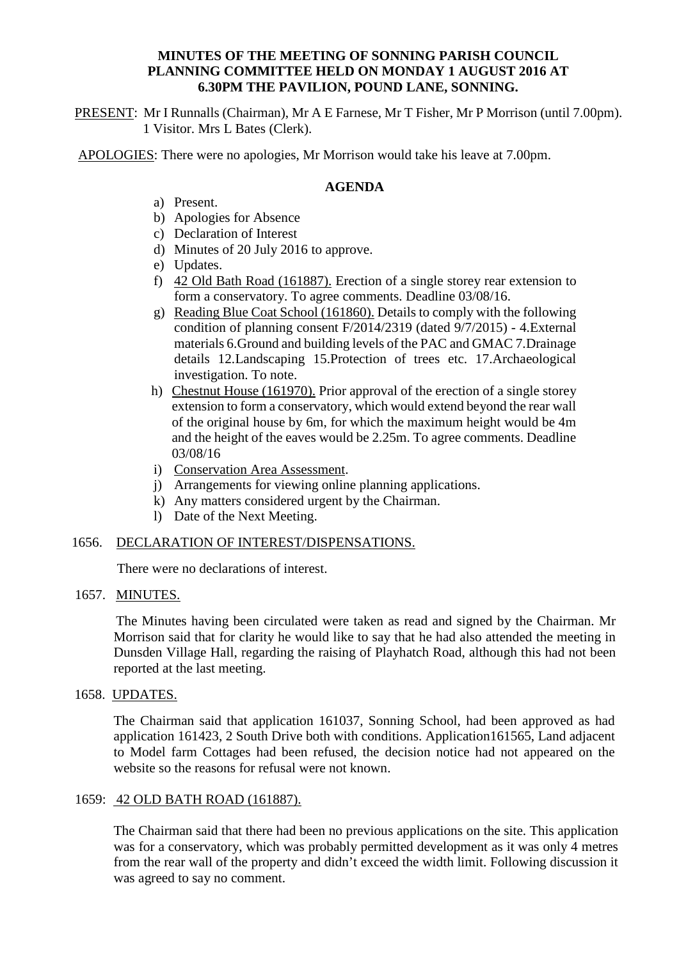### **MINUTES OF THE MEETING OF SONNING PARISH COUNCIL PLANNING COMMITTEE HELD ON MONDAY 1 AUGUST 2016 AT 6.30PM THE PAVILION, POUND LANE, SONNING.**

PRESENT: Mr I Runnalls (Chairman), Mr A E Farnese, Mr T Fisher, Mr P Morrison (until 7.00pm). 1 Visitor. Mrs L Bates (Clerk).

APOLOGIES: There were no apologies, Mr Morrison would take his leave at 7.00pm.

#### **AGENDA**

- a) Present.
- b) Apologies for Absence
- c) Declaration of Interest
- d) Minutes of 20 July 2016 to approve.
- e) Updates.
- f) 42 Old Bath Road (161887). Erection of a single storey rear extension to form a conservatory. To agree comments. Deadline 03/08/16.
- g) Reading Blue Coat School (161860). Details to comply with the following condition of planning consent F/2014/2319 (dated 9/7/2015) - 4.External materials 6.Ground and building levels of the PAC and GMAC 7.Drainage details 12.Landscaping 15.Protection of trees etc. 17.Archaeological investigation. To note.
- h) Chestnut House (161970). Prior approval of the erection of a single storey extension to form a conservatory, which would extend beyond the rear wall of the original house by 6m, for which the maximum height would be 4m and the height of the eaves would be 2.25m. To agree comments. Deadline 03/08/16
- i) Conservation Area Assessment.
- j) Arrangements for viewing online planning applications.
- k) Any matters considered urgent by the Chairman.
- l) Date of the Next Meeting.

#### 1656. DECLARATION OF INTEREST/DISPENSATIONS.

There were no declarations of interest.

#### 1657. MINUTES.

The Minutes having been circulated were taken as read and signed by the Chairman. Mr Morrison said that for clarity he would like to say that he had also attended the meeting in Dunsden Village Hall, regarding the raising of Playhatch Road, although this had not been reported at the last meeting.

#### 1658. UPDATES.

The Chairman said that application 161037, Sonning School, had been approved as had application 161423, 2 South Drive both with conditions. Application161565, Land adjacent to Model farm Cottages had been refused, the decision notice had not appeared on the website so the reasons for refusal were not known.

#### 1659: 42 OLD BATH ROAD (161887).

The Chairman said that there had been no previous applications on the site. This application was for a conservatory, which was probably permitted development as it was only 4 metres from the rear wall of the property and didn't exceed the width limit. Following discussion it was agreed to say no comment.